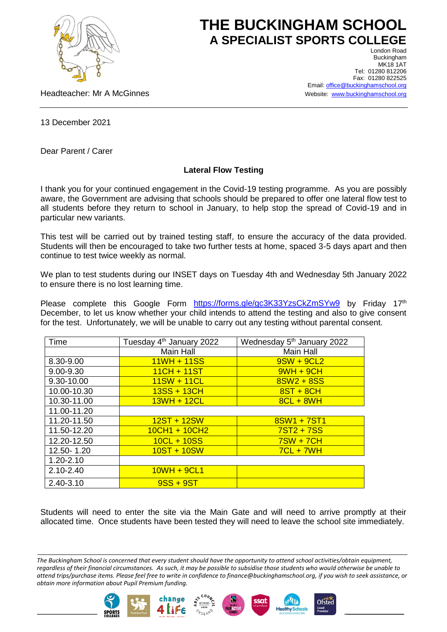

## **THE BUCKINGHAM SCHOOL A SPECIALIST SPORTS COLLEGE** London Road

Headteacher: Mr A McGinnes

Buckingham **MK18 1AT** Tel: 01280 812206 Fax: 01280 822525 Email[: office@buckinghamschool.org](mailto:office@buckinghamschool.org) Website: [www.buckinghamschool.org](http://www.buckinghamschool.org/)

13 December 2021

Dear Parent / Carer

## **Lateral Flow Testing**

I thank you for your continued engagement in the Covid-19 testing programme. As you are possibly aware, the Government are advising that schools should be prepared to offer one lateral flow test to all students before they return to school in January, to help stop the spread of Covid-19 and in particular new variants.

This test will be carried out by trained testing staff, to ensure the accuracy of the data provided. Students will then be encouraged to take two further tests at home, spaced 3-5 days apart and then continue to test twice weekly as normal.

We plan to test students during our INSET days on Tuesday 4th and Wednesday 5th January 2022 to ensure there is no lost learning time.

Please complete this Google Form <https://forms.gle/gc3K33YzsCkZmSYw9> by Friday 17<sup>th</sup> December, to let us know whether your child intends to attend the testing and also to give consent for the test. Unfortunately, we will be unable to carry out any testing without parental consent.

| Time          | Tuesday 4 <sup>th</sup> January 2022 | Wednesday 5 <sup>th</sup> January 2022 |
|---------------|--------------------------------------|----------------------------------------|
|               | Main Hall                            | Main Hall                              |
| 8.30-9.00     | $11WH + 11SS$                        | $9SW + 9CL2$                           |
| 9.00-9.30     | $11CH + 11ST$                        | $9WH + 9CH$                            |
| 9.30-10.00    | $11SW + 11CL$                        | $8SW2 + 8SS$                           |
| 10.00-10.30   | $13SS + 13CH$                        | $8ST + 8CH$                            |
| 10.30-11.00   | $13WH + 12CL$                        | $8CL + 8WH$                            |
| 11.00-11.20   |                                      |                                        |
| 11.20-11.50   | $12ST + 12SW$                        | 8SW1 + 7ST1                            |
| 11.50-12.20   | $10CH1 + 10CH2$                      | $7ST2 + 7SS$                           |
| 12.20-12.50   | $10CL + 10SS$                        | $7SW + 7CH$                            |
| 12.50-1.20    | $10ST + 10SW$                        | $7CL + 7WH$                            |
| $1.20 - 2.10$ |                                      |                                        |
| $2.10 - 2.40$ | $10WH + 9CL1$                        |                                        |
| 2.40-3.10     | $9SS + 9ST$                          |                                        |

Students will need to enter the site via the Main Gate and will need to arrive promptly at their allocated time. Once students have been tested they will need to leave the school site immediately.

**Ofsted** 





*The Buckingham School is concerned that every student should have the opportunity to attend school activities/obtain equipment, regardless of their financial circumstances. As such, it may be possible to subsidise those students who would otherwise be unable to attend trips/purchase items. Please feel free to write in confidence to finance@buckinghamschool.org, if you wish to seek assistance, or obtain more information about Pupil Premium funding.*